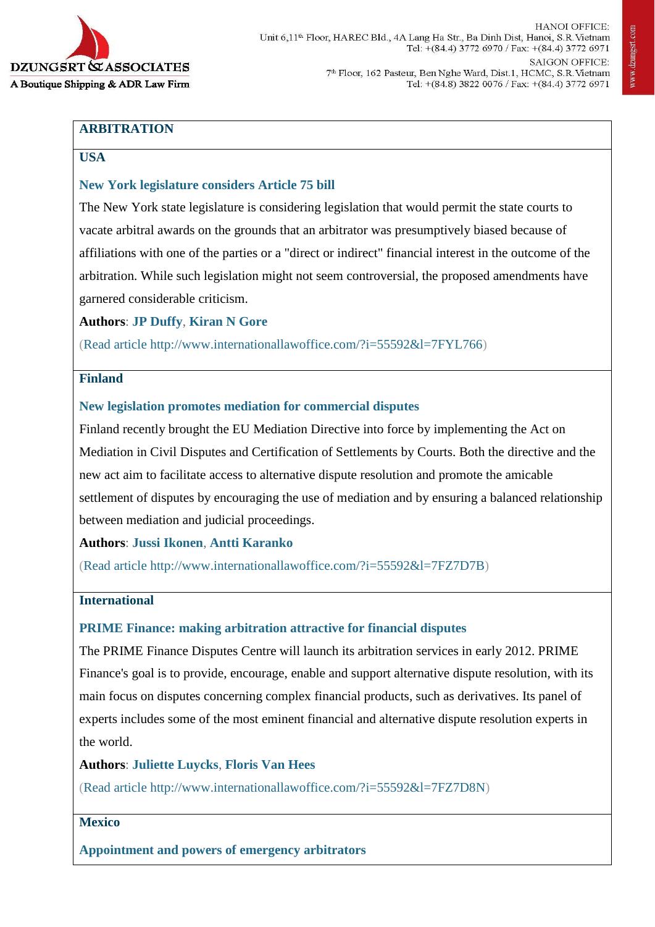

# **ARBITRATION**

# **USA**

# **[New York legislature considers Article 75 bill](http://www.internationallawoffice.com/?i=55592&l=7FYL766)**

The New York state legislature is considering legislation that would permit the state courts to vacate arbitral awards on the grounds that an arbitrator was presumptively biased because of affiliations with one of the parties or a "direct or indirect" financial interest in the outcome of the arbitration. While such legislation might not seem controversial, the proposed amendments have garnered considerable criticism.

**Authors**: **[JP Duffy](http://www.internationallawoffice.com/?i=55592&l=7FYL769)**, **[Kiran N Gore](http://www.internationallawoffice.com/?i=55592&l=7FYL76J)**

[\(Read article](http://www.internationallawoffice.com/?i=55592&l=7FYL766) [http://www.internationallawoffice.com/?i=55592&l=7FYL766\)](http://www.internationallawoffice.com/?i=55592&l=7FYL766)

# **Finland**

# **[New legislation promotes mediation for commercial disputes](http://www.internationallawoffice.com/?i=55592&l=7FZ7D7B)**

Finland recently brought the EU Mediation Directive into force by implementing the Act on Mediation in Civil Disputes and Certification of Settlements by Courts. Both the directive and the new act aim to facilitate access to alternative dispute resolution and promote the amicable settlement of disputes by encouraging the use of mediation and by ensuring a balanced relationship between mediation and judicial proceedings.

#### **Authors**: **[Jussi Ikonen](http://www.internationallawoffice.com/?i=55592&l=7FZ7D7L)**, **[Antti Karanko](http://www.internationallawoffice.com/?i=55592&l=7FZ7D87)**

[\(Read article](http://www.internationallawoffice.com/?i=55592&l=7FZ7D7B) [http://www.internationallawoffice.com/?i=55592&l=7FZ7D7B\)](http://www.internationallawoffice.com/?i=55592&l=7FZ7D7B)

### **International**

#### **[PRIME Finance: making arbitration attractive for financial disputes](http://www.internationallawoffice.com/?i=55592&l=7FZ7D8N)**

The PRIME Finance Disputes Centre will launch its arbitration services in early 2012. PRIME Finance's goal is to provide, encourage, enable and support alternative dispute resolution, with its main focus on disputes concerning complex financial products, such as derivatives. Its panel of experts includes some of the most eminent financial and alternative dispute resolution experts in the world.

**Authors**: **[Juliette Luycks](http://www.internationallawoffice.com/?i=55592&l=7FZ7D90)**, **Floris [Van Hees](http://www.internationallawoffice.com/?i=55592&l=7FZ7D9C)**

[\(Read article](http://www.internationallawoffice.com/?i=55592&l=7FZ7D8N) [http://www.internationallawoffice.com/?i=55592&l=7FZ7D8N\)](http://www.internationallawoffice.com/?i=55592&l=7FZ7D8N)

#### **Mexico**

**[Appointment and powers of emergency arbitrators](http://www.internationallawoffice.com/?i=55592&l=7FZ7D9M)**